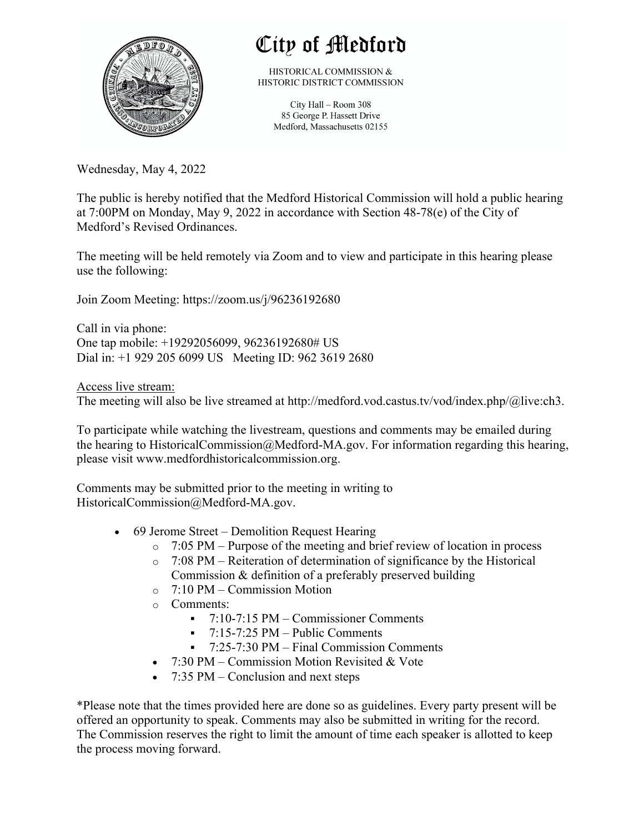

## City of Medford

HISTORICAL COMMISSION & HISTORIC DISTRICT COMMISSION

> City Hall - Room 308 85 George P. Hassett Drive Medford, Massachusetts 02155

Wednesday, May 4, 2022

The public is hereby notified that the Medford Historical Commission will hold a public hearing at 7:00PM on Monday, May 9, 2022 in accordance with Section 48-78(e) of the City of Medford's Revised Ordinances.

The meeting will be held remotely via Zoom and to view and participate in this hearing please use the following:

Join Zoom Meeting: https://zoom.us/j/96236192680

Call in via phone: One tap mobile: +19292056099, 96236192680# US Dial in: +1 929 205 6099 US Meeting ID: 962 3619 2680

Access live stream: The meeting will also be live streamed at http://medford.vod.castus.tv/vod/index.php/@live:ch3.

To participate while watching the livestream, questions and comments may be emailed during the hearing to HistoricalCommission@Medford-MA.gov. For information regarding this hearing, please visit www.medfordhistoricalcommission.org.

Comments may be submitted prior to the meeting in writing to HistoricalCommission@Medford-MA.gov.

- 69 Jerome Street Demolition Request Hearing
	- $\circ$  7:05 PM Purpose of the meeting and brief review of location in process
	- o 7:08 PM Reiteration of determination of significance by the Historical Commission & definition of a preferably preserved building
	- o 7:10 PM Commission Motion
	- o Comments:
		- § 7:10-7:15 PM Commissioner Comments
		- $\blacksquare$  7:15-7:25 PM Public Comments
		- § 7:25-7:30 PM Final Commission Comments
	- 7:30 PM Commission Motion Revisited & Vote
	- 7:35 PM Conclusion and next steps

\*Please note that the times provided here are done so as guidelines. Every party present will be offered an opportunity to speak. Comments may also be submitted in writing for the record. The Commission reserves the right to limit the amount of time each speaker is allotted to keep the process moving forward.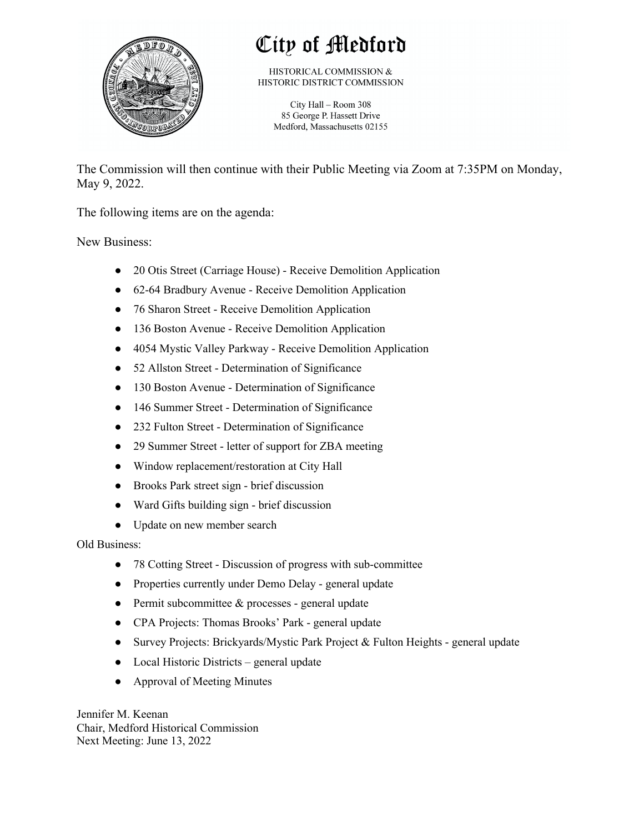

## City of Medford

HISTORICAL COMMISSION & HISTORIC DISTRICT COMMISSION

City Hall - Room 308 85 George P. Hassett Drive Medford, Massachusetts 02155

The Commission will then continue with their Public Meeting via Zoom at 7:35PM on Monday, May 9, 2022.

The following items are on the agenda:

New Business:

- 20 Otis Street (Carriage House) Receive Demolition Application
- 62-64 Bradbury Avenue Receive Demolition Application
- 76 Sharon Street Receive Demolition Application
- 136 Boston Avenue Receive Demolition Application
- 4054 Mystic Valley Parkway Receive Demolition Application
- 52 Allston Street Determination of Significance
- 130 Boston Avenue Determination of Significance
- 146 Summer Street Determination of Significance
- 232 Fulton Street Determination of Significance
- 29 Summer Street letter of support for ZBA meeting
- Window replacement/restoration at City Hall
- Brooks Park street sign brief discussion
- Ward Gifts building sign brief discussion
- Update on new member search

Old Business:

- 78 Cotting Street Discussion of progress with sub-committee
- Properties currently under Demo Delay general update
- $\bullet$  Permit subcommittee & processes general update
- CPA Projects: Thomas Brooks' Park general update
- Survey Projects: Brickyards/Mystic Park Project & Fulton Heights general update
- Local Historic Districts general update
- Approval of Meeting Minutes

Jennifer M. Keenan Chair, Medford Historical Commission Next Meeting: June 13, 2022